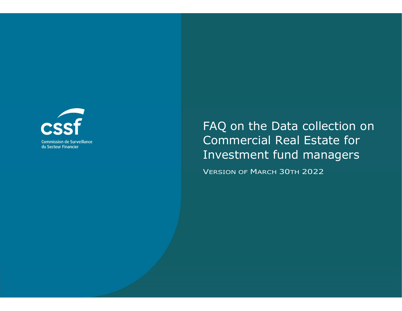

# FAQ on the Data collection on Commercial Real Estate for Investment fund managers

VERSION OF MARCH 30TH 2022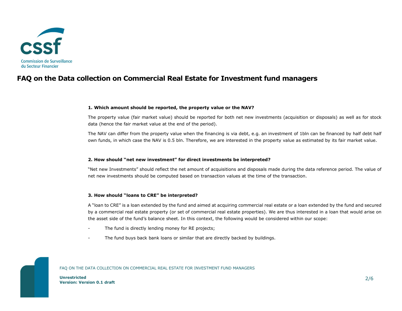

## FAQ on the Data collection on Commercial Real Estate for Investment fund managers

#### 1. Which amount should be reported, the property value or the NAV?

The property value (fair market value) should be reported for both net new investments (acquisition or disposals) as well as for stock data (hence the fair market value at the end of the period).

The NAV can differ from the property value when the financing is via debt, e.g. an investment of 1bln can be financed by half debt half own funds, in which case the NAV is 0.5 bln. Therefore, we are interested in the property value as estimated by its fair market value.

#### 2. How should "net new investment" for direct investments be interpreted?

"Net new Investments" should reflect the net amount of acquisitions and disposals made during the data reference period. The value of net new investments should be computed based on transaction values at the time of the transaction.

#### 3. How should "loans to CRE" be interpreted?

A "loan to CRE" is a loan extended by the fund and aimed at acquiring commercial real estate or a loan extended by the fund and secured by a commercial real estate property (or set of commercial real estate properties). We are thus interested in a loan that would arise on the asset side of the fund's balance sheet. In this context, the following would be considered within our scope:

- The fund is directly lending money for RE projects;
- The fund buys back bank loans or similar that are directly backed by buildings.

#### FAQ ON THE DATA COLLECTION ON COMMERCIAL REAL ESTATE FOR INVESTMENT FUND MANAGERS

Unrestricted Version: Version 0.1 draft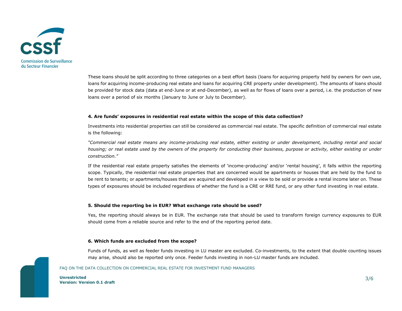

These loans should be split according to three categories on a best effort basis (loans for acquiring property held by owners for own use, loans for acquiring income-producing real estate and loans for acquiring CRE property under development). The amounts of loans should be provided for stock data (data at end-June or at end-December), as well as for flows of loans over a period, i.e. the production of new loans over a period of six months (January to June or July to December).

#### 4. Are funds' exposures in residential real estate within the scope of this data collection?

Investments into residential properties can still be considered as commercial real estate. The specific definition of commercial real estate is the following:

"Commercial real estate means any income-producing real estate, either existing or under development, including rental and social housing; or real estate used by the owners of the property for conducting their business, purpose or activity, either existing or under construction."

If the residential real estate property satisfies the elements of 'income-producing' and/or 'rental housing', it falls within the reporting scope. Typically, the residential real estate properties that are concerned would be apartments or houses that are held by the fund to be rent to tenants; or apartments/houses that are acquired and developed in a view to be sold or provide a rental income later on. These types of exposures should be included regardless of whether the fund is a CRE or RRE fund, or any other fund investing in real estate.

#### 5. Should the reporting be in EUR? What exchange rate should be used?

Yes, the reporting should always be in EUR. The exchange rate that should be used to transform foreign currency exposures to EUR should come from a reliable source and refer to the end of the reporting period date.

#### 6. Which funds are excluded from the scope?

Funds of funds, as well as feeder funds investing in LU master are excluded. Co-investments, to the extent that double counting issues may arise, should also be reported only once. Feeder funds investing in non-LU master funds are included.

#### FAQ ON THE DATA COLLECTION ON COMMERCIAL REAL ESTATE FOR INVESTMENT FUND MANAGERS

Unrestricted Version: Version 0.1 draft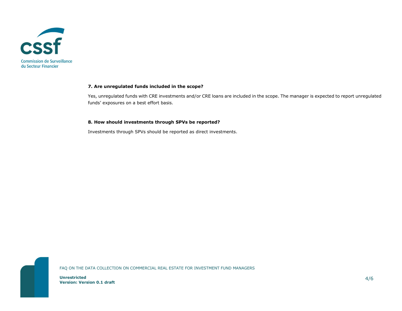

### 7. Are unregulated funds included in the scope?

Yes, unregulated funds with CRE investments and/or CRE loans are included in the scope. The manager is expected to report unregulated funds' exposures on a best effort basis.

#### 8. How should investments through SPVs be reported?

Investments through SPVs should be reported as direct investments.

Unrestricted

Version: Version 0.1 draft

FAQ ON THE DATA COLLECTION ON COMMERCIAL REAL ESTATE FOR INVESTMENT FUND MANAGERS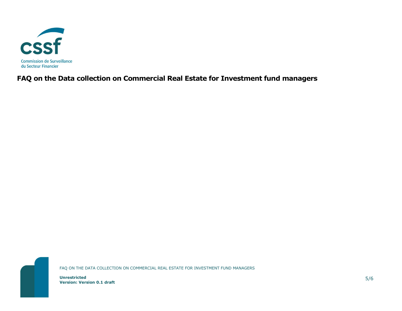

FAQ on the Data collection on Commercial Real Estate for Investment fund managers



Unrestricted

Version: Version 0.1 draft

FAQ ON THE DATA COLLECTION ON COMMERCIAL REAL ESTATE FOR INVESTMENT FUND MANAGERS